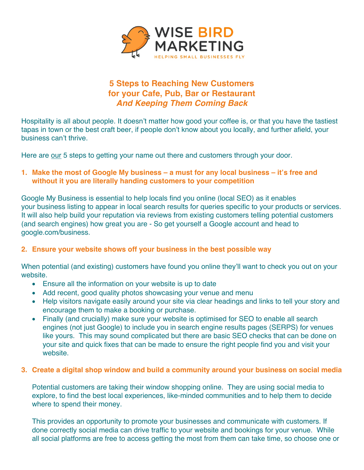

# **5 Steps to Reaching New Customers for your Cafe, Pub, Bar or Restaurant** *And Keeping Them Coming Back*

Hospitality is all about people. It doesn't matter how good your coffee is, or that you have the tastiest tapas in town or the best craft beer, if people don't know about you locally, and further afield, your business can't thrive.

Here are our 5 steps to getting your name out there and customers through your door.

# **1. Make the most of Google My business – a must for any local business – it's free and without it you are literally handing customers to your competition**

Google My Business is essential to help locals find you online (local SEO) as it enables your business listing to appear in local search results for queries specific to your products or services. It will also help build your reputation via reviews from existing customers telling potential customers (and search engines) how great you are - So get yourself a Google account and head to google.com/business.

# **2. Ensure your website shows off your business in the best possible way**

When potential (and existing) customers have found you online they'll want to check you out on your website.

- Ensure all the information on your website is up to date
- Add recent, good quality photos showcasing your venue and menu
- Help visitors navigate easily around your site via clear headings and links to tell your story and encourage them to make a booking or purchase.
- Finally (and crucially) make sure your website is optimised for SEO to enable all search engines (not just Google) to include you in search engine results pages (SERPS) for venues like yours. This may sound complicated but there are basic SEO checks that can be done on your site and quick fixes that can be made to ensure the right people find you and visit your website.

#### **3. Create a digital shop window and build a community around your business on social media**

Potential customers are taking their window shopping online. They are using social media to explore, to find the best local experiences, like-minded communities and to help them to decide where to spend their money.

This provides an opportunity to promote your businesses and communicate with customers. If done correctly social media can drive traffic to your website and bookings for your venue. While all social platforms are free to access getting the most from them can take time, so choose one or